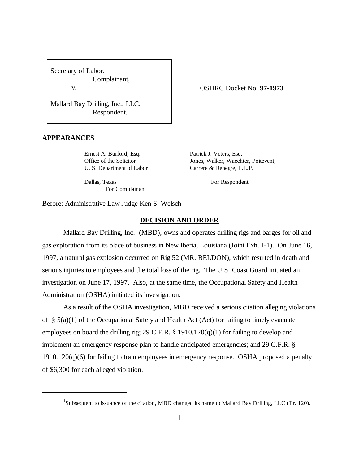Secretary of Labor, Complainant, v.

OSHRC Docket No. **97-1973**

Mallard Bay Drilling, Inc., LLC, Respondent.

#### **APPEARANCES**

Ernest A. Burford, Esq. Patrick J. Veters, Esq. Office of the Solicitor Jones, Walker, Waechter, Poitevent, U. S. Department of Labor Carrere & Denegre, L.L.P.

Dallas, Texas For Respondent For Complainant

Before: Administrative Law Judge Ken S. Welsch

### **DECISION AND ORDER**

Mallard Bay Drilling, Inc.<sup>1</sup> (MBD), owns and operates drilling rigs and barges for oil and gas exploration from its place of business in New Iberia, Louisiana (Joint Exh. J-1). On June 16, 1997, a natural gas explosion occurred on Rig 52 (MR. BELDON), which resulted in death and serious injuries to employees and the total loss of the rig. The U.S. Coast Guard initiated an investigation on June 17, 1997. Also, at the same time, the Occupational Safety and Health Administration (OSHA) initiated its investigation.

As a result of the OSHA investigation, MBD received a serious citation alleging violations of §  $5(a)(1)$  of the Occupational Safety and Health Act (Act) for failing to timely evacuate employees on board the drilling rig; 29 C.F.R. § 1910.120(q)(1) for failing to develop and implement an emergency response plan to handle anticipated emergencies; and 29 C.F.R. § 1910.120(q)(6) for failing to train employees in emergency response. OSHA proposed a penalty of \$6,300 for each alleged violation.

<sup>&</sup>lt;sup>1</sup>Subsequent to issuance of the citation, MBD changed its name to Mallard Bay Drilling, LLC (Tr. 120).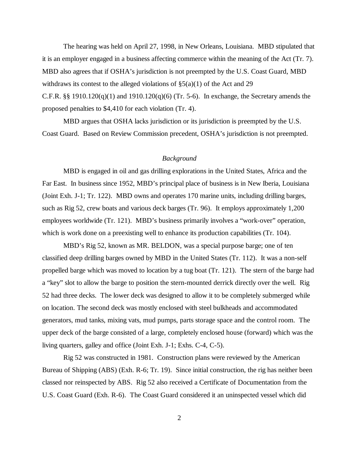The hearing was held on April 27, 1998, in New Orleans, Louisiana. MBD stipulated that it is an employer engaged in a business affecting commerce within the meaning of the Act (Tr. 7). MBD also agrees that if OSHA's jurisdiction is not preempted by the U.S. Coast Guard, MBD withdraws its contest to the alleged violations of  $\S5(a)(1)$  of the Act and 29 C.F.R.  $\S$  1910.120(q)(1) and 1910.120(q)(6) (Tr. 5-6). In exchange, the Secretary amends the proposed penalties to \$4,410 for each violation (Tr. 4).

MBD argues that OSHA lacks jurisdiction or its jurisdiction is preempted by the U.S. Coast Guard. Based on Review Commission precedent, OSHA's jurisdiction is not preempted.

### *Background*

MBD is engaged in oil and gas drilling explorations in the United States, Africa and the Far East. In business since 1952, MBD's principal place of business is in New Iberia, Louisiana (Joint Exh. J-1; Tr. 122). MBD owns and operates 170 marine units, including drilling barges, such as Rig 52, crew boats and various deck barges (Tr. 96). It employs approximately 1,200 employees worldwide (Tr. 121). MBD's business primarily involves a "work-over" operation, which is work done on a preexisting well to enhance its production capabilities (Tr. 104).

MBD's Rig 52, known as MR. BELDON, was a special purpose barge; one of ten classified deep drilling barges owned by MBD in the United States (Tr. 112). It was a non-self propelled barge which was moved to location by a tug boat (Tr. 121). The stern of the barge had a "key" slot to allow the barge to position the stern-mounted derrick directly over the well. Rig 52 had three decks. The lower deck was designed to allow it to be completely submerged while on location. The second deck was mostly enclosed with steel bulkheads and accommodated generators, mud tanks, mixing vats, mud pumps, parts storage space and the control room. The upper deck of the barge consisted of a large, completely enclosed house (forward) which was the living quarters, galley and office (Joint Exh. J-1; Exhs. C-4, C-5).

Rig 52 was constructed in 1981. Construction plans were reviewed by the American Bureau of Shipping (ABS) (Exh. R-6; Tr. 19). Since initial construction, the rig has neither been classed nor reinspected by ABS. Rig 52 also received a Certificate of Documentation from the U.S. Coast Guard (Exh. R-6). The Coast Guard considered it an uninspected vessel which did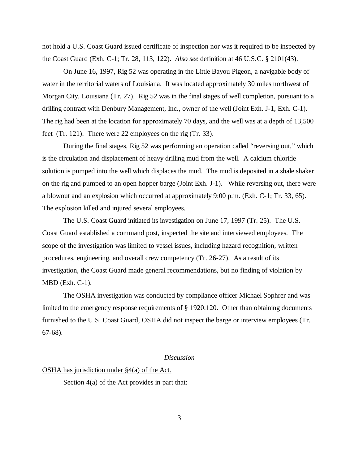not hold a U.S. Coast Guard issued certificate of inspection nor was it required to be inspected by the Coast Guard (Exh. C-1; Tr. 28, 113, 122). *Also see* definition at 46 U.S.C. § 2101(43).

On June 16, 1997, Rig 52 was operating in the Little Bayou Pigeon, a navigable body of water in the territorial waters of Louisiana. It was located approximately 30 miles northwest of Morgan City, Louisiana (Tr. 27). Rig 52 was in the final stages of well completion, pursuant to a drilling contract with Denbury Management, Inc., owner of the well (Joint Exh. J-1, Exh. C-1). The rig had been at the location for approximately 70 days, and the well was at a depth of 13,500 feet (Tr. 121). There were 22 employees on the rig (Tr. 33).

During the final stages, Rig 52 was performing an operation called "reversing out," which is the circulation and displacement of heavy drilling mud from the well. A calcium chloride solution is pumped into the well which displaces the mud. The mud is deposited in a shale shaker on the rig and pumped to an open hopper barge (Joint Exh. J-1). While reversing out, there were a blowout and an explosion which occurred at approximately 9:00 p.m. (Exh. C-1; Tr. 33, 65). The explosion killed and injured several employees.

The U.S. Coast Guard initiated its investigation on June 17, 1997 (Tr. 25). The U.S. Coast Guard established a command post, inspected the site and interviewed employees. The scope of the investigation was limited to vessel issues, including hazard recognition, written procedures, engineering, and overall crew competency (Tr. 26-27). As a result of its investigation, the Coast Guard made general recommendations, but no finding of violation by MBD (Exh. C-1).

The OSHA investigation was conducted by compliance officer Michael Sophrer and was limited to the emergency response requirements of § 1920.120. Other than obtaining documents furnished to the U.S. Coast Guard, OSHA did not inspect the barge or interview employees (Tr. 67-68).

### *Discussion*

#### OSHA has jurisdiction under §4(a) of the Act.

Section 4(a) of the Act provides in part that: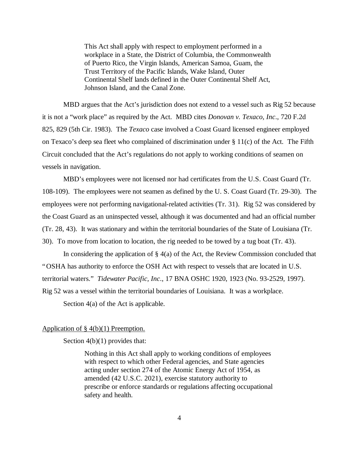This Act shall apply with respect to employment performed in a workplace in a State, the District of Columbia, the Commonwealth of Puerto Rico, the Virgin Islands, American Samoa, Guam, the Trust Territory of the Pacific Islands, Wake Island, Outer Continental Shelf lands defined in the Outer Continental Shelf Act, Johnson Island, and the Canal Zone.

MBD argues that the Act's jurisdiction does not extend to a vessel such as Rig 52 because it is not a "work place" as required by the Act. MBD cites *Donovan v. Texaco, Inc*., 720 F.2d 825, 829 (5th Cir. 1983). The *Texaco* case involved a Coast Guard licensed engineer employed on Texaco's deep sea fleet who complained of discrimination under § 11(c) of the Act. The Fifth Circuit concluded that the Act's regulations do not apply to working conditions of seamen on vessels in navigation.

MBD's employees were not licensed nor had certificates from the U.S. Coast Guard (Tr. 108-109). The employees were not seamen as defined by the U. S. Coast Guard (Tr. 29-30). The employees were not performing navigational-related activities (Tr. 31). Rig 52 was considered by the Coast Guard as an uninspected vessel, although it was documented and had an official number (Tr. 28, 43). It was stationary and within the territorial boundaries of the State of Louisiana (Tr. 30). To move from location to location, the rig needed to be towed by a tug boat (Tr. 43).

In considering the application of § 4(a) of the Act, the Review Commission concluded that "OSHA has authority to enforce the OSH Act with respect to vessels that are located in U.S. territorial waters." *Tidewater Pacific, Inc*., 17 BNA OSHC 1920, 1923 (No. 93-2529, 1997). Rig 52 was a vessel within the territorial boundaries of Louisiana. It was a workplace. Section 4(a) of the Act is applicable.

# Application of § 4(b)(1) Preemption.

Section  $4(b)(1)$  provides that:

Nothing in this Act shall apply to working conditions of employees with respect to which other Federal agencies, and State agencies acting under section 274 of the Atomic Energy Act of 1954, as amended (42 U.S.C. 2021), exercise statutory authority to prescribe or enforce standards or regulations affecting occupational safety and health.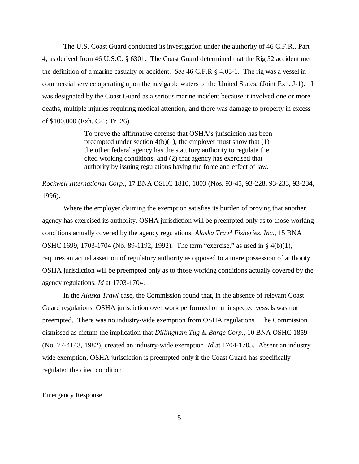The U.S. Coast Guard conducted its investigation under the authority of 46 C.F.R., Part 4, as derived from 46 U.S.C. § 6301. The Coast Guard determined that the Rig 52 accident met the definition of a marine casualty or accident. *See* 46 C.F.R § 4.03-1. The rig was a vessel in commercial service operating upon the navigable waters of the United States. (Joint Exh. J-1). It was designated by the Coast Guard as a serious marine incident because it involved one or more deaths, multiple injuries requiring medical attention, and there was damage to property in excess of \$100,000 (Exh. C-1; Tr. 26).

> To prove the affirmative defense that OSHA's jurisdiction has been preempted under section  $4(b)(1)$ , the employer must show that  $(1)$ the other federal agency has the statutory authority to regulate the cited working conditions, and (2) that agency has exercised that authority by issuing regulations having the force and effect of law.

*Rockwell International Corp*., 17 BNA OSHC 1810, 1803 (Nos. 93-45, 93-228, 93-233, 93-234, 1996).

Where the employer claiming the exemption satisfies its burden of proving that another agency has exercised its authority, OSHA jurisdiction will be preempted only as to those working conditions actually covered by the agency regulations. *Alaska Trawl Fisheries, Inc*., 15 BNA OSHC 1699, 1703-1704 (No. 89-1192, 1992). The term "exercise," as used in § 4(b)(1), requires an actual assertion of regulatory authority as opposed to a mere possession of authority. OSHA jurisdiction will be preempted only as to those working conditions actually covered by the agency regulations. *Id* at 1703-1704.

In the *Alaska Trawl* case, the Commission found that, in the absence of relevant Coast Guard regulations, OSHA jurisdiction over work performed on uninspected vessels was not preempted. There was no industry-wide exemption from OSHA regulations. The Commission dismissed as dictum the implication that *Dillingham Tug & Barge Corp*., 10 BNA OSHC 1859 (No. 77-4143, 1982), created an industry-wide exemption. *Id* at 1704-1705. Absent an industry wide exemption, OSHA jurisdiction is preempted only if the Coast Guard has specifically regulated the cited condition.

# Emergency Response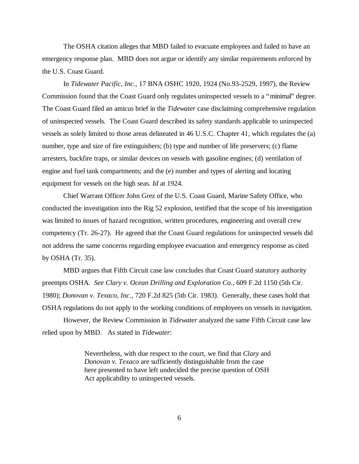The OSHA citation alleges that MBD failed to evacuate employees and failed to have an emergency response plan. MBD does not argue or identify any similar requirements enforced by the U.S. Coast Guard.

In *Tidewater Pacific, Inc*., 17 BNA OSHC 1920, 1924 (No.93-2529, 1997), the Review Commission found that the Coast Guard only regulates uninspected vessels to a "minimal" degree. The Coast Guard filed an amicus brief in the *Tidewater* case disclaiming comprehensive regulation of uninspected vessels. The Coast Guard described its safety standards applicable to uninspected vessels as solely limited to those areas delineated in 46 U.S.C. Chapter 41, which regulates the (a) number, type and size of fire extinguishers; (b) type and number of life preservers; (c) flame arresters, backfire traps, or similar devices on vessels with gasoline engines; (d) ventilation of engine and fuel tank compartments; and the (e) number and types of alerting and locating equipment for vessels on the high seas. *Id* at 1924.

Chief Warrant Officer John Grez of the U.S. Coast Guard, Marine Safety Office, who conducted the investigation into the Rig 52 explosion, testified that the scope of his investigation was limited to issues of hazard recognition, written procedures, engineering and overall crew competency (Tr. 26-27). He agreed that the Coast Guard regulations for uninspected vessels did not address the same concerns regarding employee evacuation and emergency response as cited by OSHA (Tr. 35).

MBD argues that Fifth Circuit case law concludes that Coast Guard statutory authority preempts OSHA. *See Clary v. Ocean Drilling and Exploration Co.*, 609 F.2d 1150 (5th Cir. 1980); *Donovan v. Texaco, Inc.,* 720 F.2d 825 (5th Cir. 1983). Generally, these cases hold that OSHA regulations do not apply to the working conditions of employees on vessels in navigation.

However, the Review Commission in *Tidewater* analyzed the same Fifth Circuit case law relied upon by MBD. As stated in *Tidewater*:

> Nevertheless, with due respect to the court, we find that *Clary* and *Donovan v. Texaco* are sufficiently distinguishable from the case here presented to have left undecided the precise question of OSH Act applicability to uninspected vessels.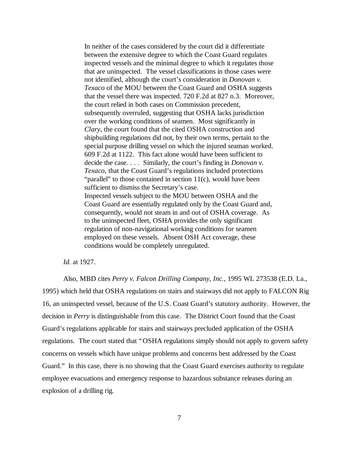In neither of the cases considered by the court did it differentiate between the extensive degree to which the Coast Guard regulates inspected vessels and the minimal degree to which it regulates those that are uninspected. The vessel classifications in those cases were not identified, although the court's consideration in *Donovan v. Texaco* of the MOU between the Coast Guard and OSHA suggests that the vessel there was inspected. 720 F.2d at 827 n.3. Moreover, the court relied in both cases on Commission precedent, subsequently overruled, suggesting that OSHA lacks jurisdiction over the working conditions of seamen. Most significantly in *Clary*, the court found that the cited OSHA construction and shipbuilding regulations did not, by their own terms, pertain to the special purpose drilling vessel on which the injured seaman worked. 609 F.2d at 1122. This fact alone would have been sufficient to decide the case. . . . Similarly, the court's finding in *Donovan v. Texaco*, that the Coast Guard's regulations included protections "parallel" to those contained in section 11(c), would have been sufficient to dismiss the Secretary's case. Inspected vessels subject to the MOU between OSHA and the Coast Guard are essentially regulated only by the Coast Guard and, consequently, would not steam in and out of OSHA coverage. As to the uninspected fleet, OSHA provides the only significant regulation of non-navigational working conditions for seamen employed on these vessels. Absent OSH Act coverage, these conditions would be completely unregulated.

*Id.* at 1927.

Also, MBD cites *Perry v. Falcon Drilling Company, Inc.,* 1995 WL 273538 (E.D. La., 1995) which held that OSHA regulations on stairs and stairways did not apply to FALCON Rig 16, an uninspected vessel, because of the U.S. Coast Guard's statutory authority. However, the decision in *Perry* is distinguishable from this case. The District Court found that the Coast Guard's regulations applicable for stairs and stairways precluded application of the OSHA regulations. The court stated that "OSHA regulations simply should not apply to govern safety concerns on vessels which have unique problems and concerns best addressed by the Coast Guard." In this case, there is no showing that the Coast Guard exercises authority to regulate employee evacuations and emergency response to hazardous substance releases during an explosion of a drilling rig.